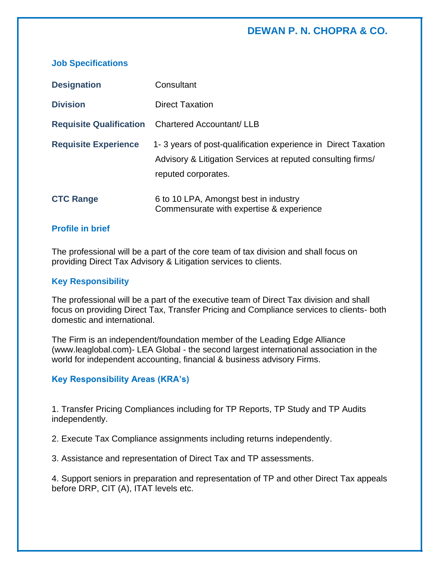# **DEWAN P. N. CHOPRA & CO.**

| <b>Designation</b>             | Consultant                                                                                                                                          |
|--------------------------------|-----------------------------------------------------------------------------------------------------------------------------------------------------|
| <b>Division</b>                | <b>Direct Taxation</b>                                                                                                                              |
| <b>Requisite Qualification</b> | <b>Chartered Accountant/ LLB</b>                                                                                                                    |
| <b>Requisite Experience</b>    | 1-3 years of post-qualification experience in Direct Taxation<br>Advisory & Litigation Services at reputed consulting firms/<br>reputed corporates. |
| <b>CTC Range</b>               | 6 to 10 LPA, Amongst best in industry<br>Commensurate with expertise & experience                                                                   |

### **Profile in brief**

**Job Specifications**

The professional will be a part of the core team of tax division and shall focus on providing Direct Tax Advisory & Litigation services to clients.

#### **Key Responsibility**

The professional will be a part of the executive team of Direct Tax division and shall focus on providing Direct Tax, Transfer Pricing and Compliance services to clients- both domestic and international.

The Firm is an independent/foundation member of the Leading Edge Alliance (www.leaglobal.com)- LEA Global - the second largest international association in the world for independent accounting, financial & business advisory Firms.

#### **Key Responsibility Areas (KRA's)**

1. Transfer Pricing Compliances including for TP Reports, TP Study and TP Audits independently.

2. Execute Tax Compliance assignments including returns independently.

3. Assistance and representation of Direct Tax and TP assessments.

4. Support seniors in preparation and representation of TP and other Direct Tax appeals before DRP, CIT (A), ITAT levels etc.